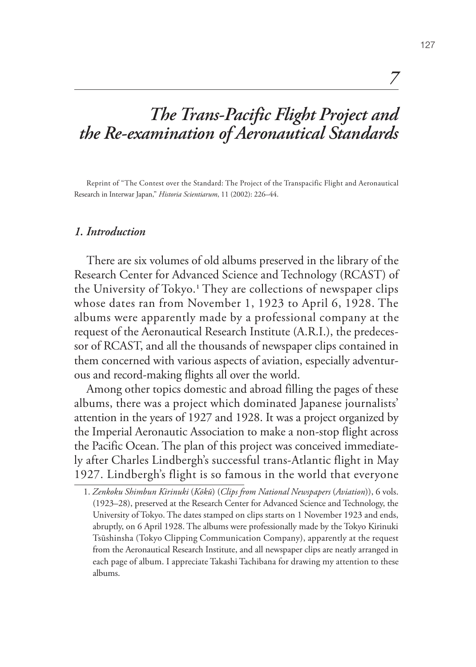# *The Trans-Pacific Flight Project and the Re-examination of Aeronautical Standards*

Reprint of "The Contest over the Standard: The Project of the Transpacific Flight and Aeronautical Research in Interwar Japan," *Historia Scientiarum*, 11 (2002): 226–44.

#### *1. Introduction*

There are six volumes of old albums preserved in the library of the Research Center for Advanced Science and Technology (RCAST) of the University of Tokyo.**<sup>1</sup>** They are collections of newspaper clips whose dates ran from November 1, 1923 to April 6, 1928. The albums were apparently made by a professional company at the request of the Aeronautical Research Institute (A.R.I.), the predecessor of RCAST, and all the thousands of newspaper clips contained in them concerned with various aspects of aviation, especially adventurous and record-making flights all over the world.

Among other topics domestic and abroad filling the pages of these albums, there was a project which dominated Japanese journalists' attention in the years of 1927 and 1928. It was a project organized by the Imperial Aeronautic Association to make a non-stop flight across the Pacific Ocean. The plan of this project was conceived immediately after Charles Lindbergh's successful trans-Atlantic flight in May 1927. Lindbergh's flight is so famous in the world that everyone

*7*

<sup>1.</sup> *Zenkoku Shimbun Kirinuki* (*Kōkū*) (*Clips from National Newspapers* (*Aviation*)), 6 vols. (1923–28), preserved at the Research Center for Advanced Science and Technology, the University of Tokyo. The dates stamped on clips starts on 1 November 1923 and ends, abruptly, on 6 April 1928. The albums were professionally made by the Tokyo Kirinuki Tsūshinsha (Tokyo Clipping Communication Company), apparently at the request from the Aeronautical Research Institute, and all newspaper clips are neatly arranged in each page of album. I appreciate Takashi Tachibana for drawing my attention to these albums.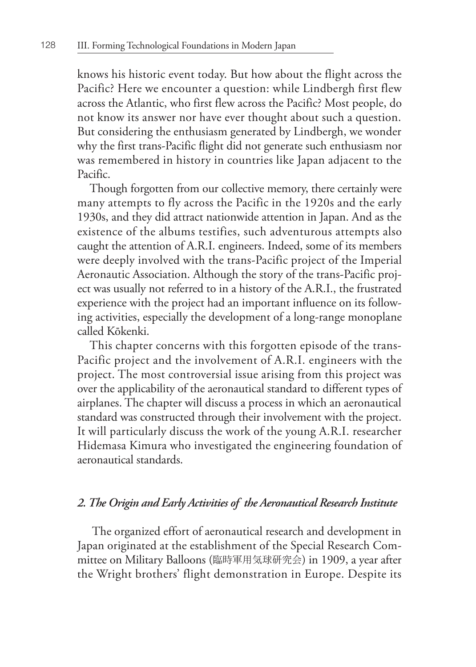knows his historic event today. But how about the flight across the Pacific? Here we encounter a question: while Lindbergh first flew across the Atlantic, who first flew across the Pacific? Most people, do not know its answer nor have ever thought about such a question. But considering the enthusiasm generated by Lindbergh, we wonder why the first trans-Pacific flight did not generate such enthusiasm nor was remembered in history in countries like Japan adjacent to the Pacific.

Though forgotten from our collective memory, there certainly were many attempts to fly across the Pacific in the 1920s and the early 1930s, and they did attract nationwide attention in Japan. And as the existence of the albums testifies, such adventurous attempts also caught the attention of A.R.I. engineers. Indeed, some of its members were deeply involved with the trans-Pacific project of the Imperial Aeronautic Association. Although the story of the trans-Pacific project was usually not referred to in a history of the A.R.I., the frustrated experience with the project had an important influence on its following activities, especially the development of a long-range monoplane called Kōkenki.

This chapter concerns with this forgotten episode of the trans-Pacific project and the involvement of A.R.I. engineers with the project. The most controversial issue arising from this project was over the applicability of the aeronautical standard to different types of airplanes. The chapter will discuss a process in which an aeronautical standard was constructed through their involvement with the project. It will particularly discuss the work of the young A.R.I. researcher Hidemasa Kimura who investigated the engineering foundation of aeronautical standards.

## *2. The Origin and Early Activities of the Aeronautical Research Institute*

 The organized effort of aeronautical research and development in Japan originated at the establishment of the Special Research Committee on Military Balloons (臨時軍用気球研究会) in 1909, a year after the Wright brothers' flight demonstration in Europe. Despite its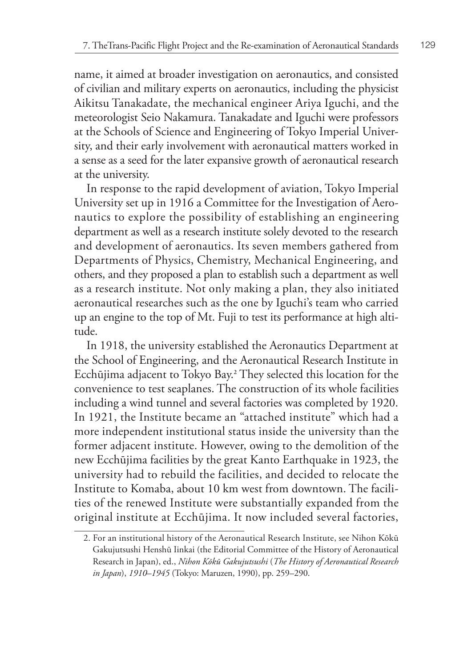name, it aimed at broader investigation on aeronautics, and consisted of civilian and military experts on aeronautics, including the physicist Aikitsu Tanakadate, the mechanical engineer Ariya Iguchi, and the meteorologist Seio Nakamura. Tanakadate and Iguchi were professors at the Schools of Science and Engineering of Tokyo Imperial University, and their early involvement with aeronautical matters worked in a sense as a seed for the later expansive growth of aeronautical research at the university.

In response to the rapid development of aviation, Tokyo Imperial University set up in 1916 a Committee for the Investigation of Aeronautics to explore the possibility of establishing an engineering department as well as a research institute solely devoted to the research and development of aeronautics. Its seven members gathered from Departments of Physics, Chemistry, Mechanical Engineering, and others, and they proposed a plan to establish such a department as well as a research institute. Not only making a plan, they also initiated aeronautical researches such as the one by Iguchi's team who carried up an engine to the top of Mt. Fuji to test its performance at high altitude.

In 1918, the university established the Aeronautics Department at the School of Engineering, and the Aeronautical Research Institute in Ecchūjima adjacent to Tokyo Bay.**<sup>2</sup>** They selected this location for the convenience to test seaplanes. The construction of its whole facilities including a wind tunnel and several factories was completed by 1920. In 1921, the Institute became an "attached institute" which had a more independent institutional status inside the university than the former adjacent institute. However, owing to the demolition of the new Ecchūjima facilities by the great Kanto Earthquake in 1923, the university had to rebuild the facilities, and decided to relocate the Institute to Komaba, about 10 km west from downtown. The facilities of the renewed Institute were substantially expanded from the original institute at Ecchūjima. It now included several factories,

<sup>2.</sup> For an institutional history of the Aeronautical Research Institute, see Nihon Kōkū Gakujutsushi Henshū Iinkai (the Editorial Committee of the History of Aeronautical Research in Japan), ed., *Nihon Kōkū Gakujutsushi* (*The History of Aeronautical Research in Japan*), *1910–1945* (Tokyo: Maruzen, 1990), pp. 259–290.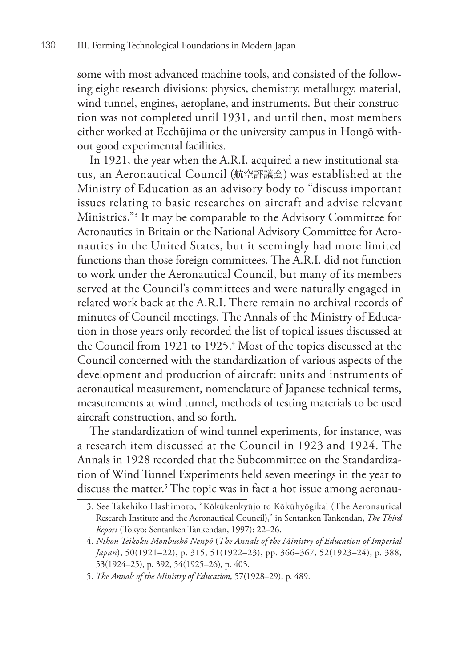some with most advanced machine tools, and consisted of the following eight research divisions: physics, chemistry, metallurgy, material, wind tunnel, engines, aeroplane, and instruments. But their construction was not completed until 1931, and until then, most members either worked at Ecchūjima or the university campus in Hongō without good experimental facilities.

In 1921, the year when the A.R.I. acquired a new institutional status, an Aeronautical Council (航空評議会) was established at the Ministry of Education as an advisory body to "discuss important issues relating to basic researches on aircraft and advise relevant Ministries."**<sup>3</sup>** It may be comparable to the Advisory Committee for Aeronautics in Britain or the National Advisory Committee for Aeronautics in the United States, but it seemingly had more limited functions than those foreign committees. The A.R.I. did not function to work under the Aeronautical Council, but many of its members served at the Council's committees and were naturally engaged in related work back at the A.R.I. There remain no archival records of minutes of Council meetings. The Annals of the Ministry of Education in those years only recorded the list of topical issues discussed at the Council from 1921 to 1925.**<sup>4</sup>** Most of the topics discussed at the Council concerned with the standardization of various aspects of the development and production of aircraft: units and instruments of aeronautical measurement, nomenclature of Japanese technical terms, measurements at wind tunnel, methods of testing materials to be used aircraft construction, and so forth.

The standardization of wind tunnel experiments, for instance, was a research item discussed at the Council in 1923 and 1924. The Annals in 1928 recorded that the Subcommittee on the Standardization of Wind Tunnel Experiments held seven meetings in the year to discuss the matter.**<sup>5</sup>** The topic was in fact a hot issue among aeronau-

<sup>3.</sup> See Takehiko Hashimoto, "Kōkūkenkyūjo to Kōkūhyōgikai (The Aeronautical Research Institute and the Aeronautical Council)," in Sentanken Tankendan, *The Third Report* (Tokyo: Sentanken Tankendan, 1997): 22–26.

<sup>4.</sup> *Nihon Teikoku Monbushō Nenpō* (*The Annals of the Ministry of Education of Imperial Japan*), 50(1921–22), p. 315, 51(1922–23), pp. 366–367, 52(1923–24), p. 388, 53(1924–25), p. 392, 54(1925–26), p. 403.

<sup>5.</sup> *The Annals of the Ministry of Education*, 57(1928–29), p. 489.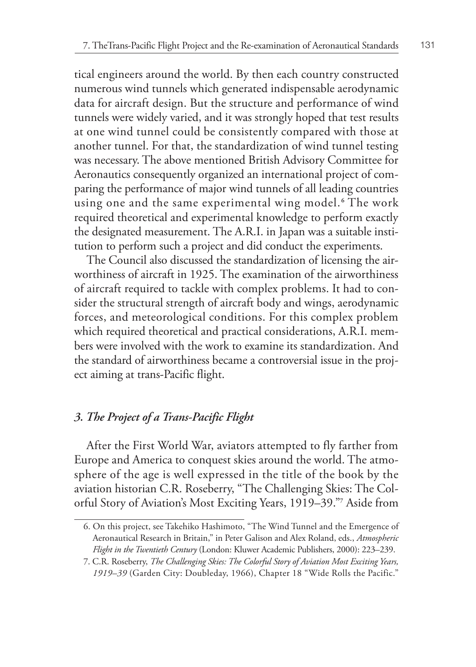tical engineers around the world. By then each country constructed numerous wind tunnels which generated indispensable aerodynamic data for aircraft design. But the structure and performance of wind tunnels were widely varied, and it was strongly hoped that test results at one wind tunnel could be consistently compared with those at another tunnel. For that, the standardization of wind tunnel testing was necessary. The above mentioned British Advisory Committee for Aeronautics consequently organized an international project of comparing the performance of major wind tunnels of all leading countries using one and the same experimental wing model. **<sup>6</sup>** The work required theoretical and experimental knowledge to perform exactly the designated measurement. The A.R.I. in Japan was a suitable institution to perform such a project and did conduct the experiments.

The Council also discussed the standardization of licensing the airworthiness of aircraft in 1925. The examination of the airworthiness of aircraft required to tackle with complex problems. It had to consider the structural strength of aircraft body and wings, aerodynamic forces, and meteorological conditions. For this complex problem which required theoretical and practical considerations, A.R.I. members were involved with the work to examine its standardization. And the standard of airworthiness became a controversial issue in the project aiming at trans-Pacific flight.

# *3. The Project of a Trans-Pacific Flight*

After the First World War, aviators attempted to fly farther from Europe and America to conquest skies around the world. The atmosphere of the age is well expressed in the title of the book by the aviation historian C.R. Roseberry, "The Challenging Skies: The Colorful Story of Aviation's Most Exciting Years, 1919–39."**<sup>7</sup>** Aside from

<sup>6.</sup> On this project, see Takehiko Hashimoto, "The Wind Tunnel and the Emergence of Aeronautical Research in Britain," in Peter Galison and Alex Roland, eds., *Atmospheric Flight in the Twentieth Century* (London: Kluwer Academic Publishers, 2000): 223–239.

<sup>7.</sup> C.R. Roseberry, *The Challenging Skies: The Colorful Story of Aviation Most Exciting Years, 1919–39* (Garden City: Doubleday, 1966), Chapter 18 "Wide Rolls the Pacific."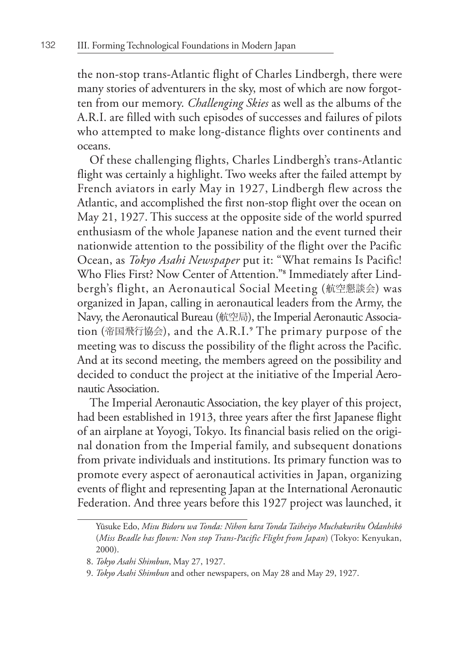the non-stop trans-Atlantic flight of Charles Lindbergh, there were many stories of adventurers in the sky, most of which are now forgotten from our memory. *Challenging Skies* as well as the albums of the A.R.I. are filled with such episodes of successes and failures of pilots who attempted to make long-distance flights over continents and oceans.

Of these challenging flights, Charles Lindbergh's trans-Atlantic flight was certainly a highlight. Two weeks after the failed attempt by French aviators in early May in 1927, Lindbergh flew across the Atlantic, and accomplished the first non-stop flight over the ocean on May 21, 1927. This success at the opposite side of the world spurred enthusiasm of the whole Japanese nation and the event turned their nationwide attention to the possibility of the flight over the Pacific Ocean, as *Tokyo Asahi Newspaper* put it: "What remains Is Pacific! Who Flies First? Now Center of Attention."**<sup>8</sup>** Immediately after Lindbergh's flight, an Aeronautical Social Meeting (航空懇談会) was organized in Japan, calling in aeronautical leaders from the Army, the Navy, the Aeronautical Bureau (航空局), the Imperial Aeronautic Association (帝国飛行協会), and the A.R.I.**<sup>9</sup>** The primary purpose of the meeting was to discuss the possibility of the flight across the Pacific. And at its second meeting, the members agreed on the possibility and decided to conduct the project at the initiative of the Imperial Aeronautic Association.

The Imperial Aeronautic Association, the key player of this project, had been established in 1913, three years after the first Japanese flight of an airplane at Yoyogi, Tokyo. Its financial basis relied on the original donation from the Imperial family, and subsequent donations from private individuals and institutions. Its primary function was to promote every aspect of aeronautical activities in Japan, organizing events of flight and representing Japan at the International Aeronautic Federation. And three years before this 1927 project was launched, it

Yūsuke Edo, *Misu Bidoru wa Tonda: Nihon kara Tonda Taiheiyo Muchakuriku Ōdanhikō* (*Miss Beadle has flown: Non stop Trans-Pacific Flight from Japan*) (Tokyo: Kenyukan, 2000).

<sup>8.</sup> *Tokyo Asahi Shimbun*, May 27, 1927.

<sup>9.</sup> *Tokyo Asahi Shimbun* and other newspapers, on May 28 and May 29, 1927.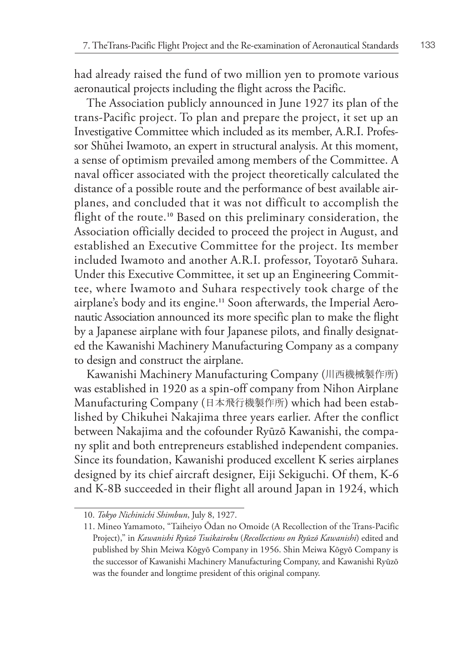had already raised the fund of two million yen to promote various aeronautical projects including the flight across the Pacific.

The Association publicly announced in June 1927 its plan of the trans-Pacific project. To plan and prepare the project, it set up an Investigative Committee which included as its member, A.R.I. Professor Shūhei Iwamoto, an expert in structural analysis. At this moment, a sense of optimism prevailed among members of the Committee. A naval officer associated with the project theoretically calculated the distance of a possible route and the performance of best available airplanes, and concluded that it was not difficult to accomplish the flight of the route.**10** Based on this preliminary consideration, the Association officially decided to proceed the project in August, and established an Executive Committee for the project. Its member included Iwamoto and another A.R.I. professor, Toyotarō Suhara. Under this Executive Committee, it set up an Engineering Committee, where Iwamoto and Suhara respectively took charge of the airplane's body and its engine.**11** Soon afterwards, the Imperial Aeronautic Association announced its more specific plan to make the flight by a Japanese airplane with four Japanese pilots, and finally designated the Kawanishi Machinery Manufacturing Company as a company to design and construct the airplane.

Kawanishi Machinery Manufacturing Company (川西機械製作所) was established in 1920 as a spin-off company from Nihon Airplane Manufacturing Company (日本飛行機製作所) which had been established by Chikuhei Nakajima three years earlier. After the conflict between Nakajima and the cofounder Ryūzō Kawanishi, the company split and both entrepreneurs established independent companies. Since its foundation, Kawanishi produced excellent K series airplanes designed by its chief aircraft designer, Eiji Sekiguchi. Of them, K-6 and K-8B succeeded in their flight all around Japan in 1924, which

<sup>10.</sup> *Tokyo Nichinichi Shimbun*, July 8, 1927.

<sup>11.</sup> Mineo Yamamoto, "Taiheiyo Ōdan no Omoide (A Recollection of the Trans-Pacific Project)," in *Kawanishi Ryūzō Tsuikairoku* (*Recollections on Ryūzō Kawanishi*) edited and published by Shin Meiwa Kōgyō Company in 1956. Shin Meiwa Kōgyō Company is the successor of Kawanishi Machinery Manufacturing Company, and Kawanishi Ryūzō was the founder and longtime president of this original company.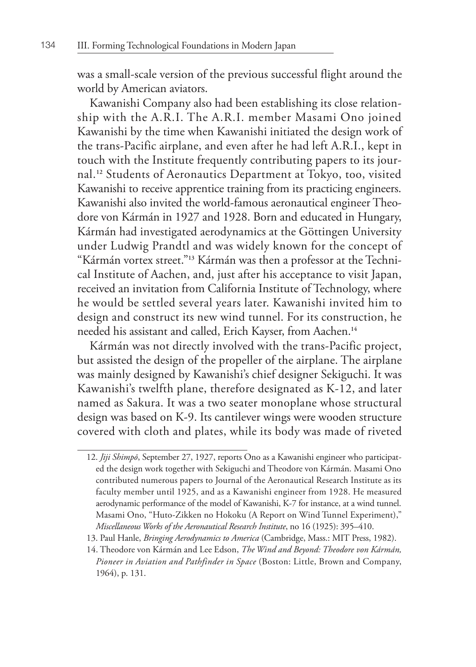was a small-scale version of the previous successful flight around the world by American aviators.

Kawanishi Company also had been establishing its close relationship with the A.R.I. The A.R.I. member Masami Ono joined Kawanishi by the time when Kawanishi initiated the design work of the trans-Pacific airplane, and even after he had left A.R.I., kept in touch with the Institute frequently contributing papers to its journal.**12** Students of Aeronautics Department at Tokyo, too, visited Kawanishi to receive apprentice training from its practicing engineers. Kawanishi also invited the world-famous aeronautical engineer Theodore von Kármán in 1927 and 1928. Born and educated in Hungary, Kármán had investigated aerodynamics at the Göttingen University under Ludwig Prandtl and was widely known for the concept of "Kármán vortex street."**13** Kármán was then a professor at the Technical Institute of Aachen, and, just after his acceptance to visit Japan, received an invitation from California Institute of Technology, where he would be settled several years later. Kawanishi invited him to design and construct its new wind tunnel. For its construction, he needed his assistant and called, Erich Kayser, from Aachen.**<sup>14</sup>**

Kármán was not directly involved with the trans-Pacific project, but assisted the design of the propeller of the airplane. The airplane was mainly designed by Kawanishi's chief designer Sekiguchi. It was Kawanishi's twelfth plane, therefore designated as K-12, and later named as Sakura. It was a two seater monoplane whose structural design was based on K-9. Its cantilever wings were wooden structure covered with cloth and plates, while its body was made of riveted

<sup>12.</sup> *Jiji Shimpō*, September 27, 1927, reports Ono as a Kawanishi engineer who participated the design work together with Sekiguchi and Theodore von Kármán. Masami Ono contributed numerous papers to Journal of the Aeronautical Research Institute as its faculty member until 1925, and as a Kawanishi engineer from 1928. He measured aerodynamic performance of the model of Kawanishi, K-7 for instance, at a wind tunnel. Masami Ono, "Huto-Zikken no Hokoku (A Report on Wind Tunnel Experiment)," *Miscellaneous Works of the Aeronautical Research Institute*, no 16 (1925): 395–410.

<sup>13.</sup> Paul Hanle, *Bringing Aerodynamics to America* (Cambridge, Mass.: MIT Press, 1982).

<sup>14.</sup> Theodore von Kármán and Lee Edson, *The Wind and Beyond: Theodore von Kármán, Pioneer in Aviation and Pathfinder in Space* (Boston: Little, Brown and Company, 1964), p. 131.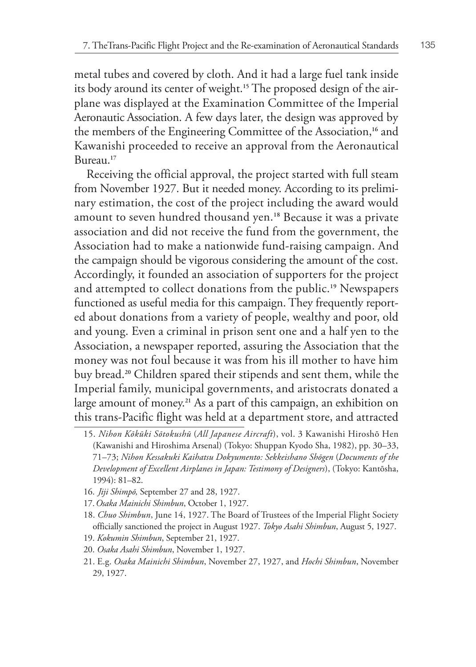metal tubes and covered by cloth. And it had a large fuel tank inside its body around its center of weight.**15** The proposed design of the airplane was displayed at the Examination Committee of the Imperial Aeronautic Association. A few days later, the design was approved by the members of the Engineering Committee of the Association,**16** and Kawanishi proceeded to receive an approval from the Aeronautical Bureau.**<sup>17</sup>**

Receiving the official approval, the project started with full steam from November 1927. But it needed money. According to its preliminary estimation, the cost of the project including the award would amount to seven hundred thousand yen.**18** Because it was a private association and did not receive the fund from the government, the Association had to make a nationwide fund-raising campaign. And the campaign should be vigorous considering the amount of the cost. Accordingly, it founded an association of supporters for the project and attempted to collect donations from the public.**19** Newspapers functioned as useful media for this campaign. They frequently reported about donations from a variety of people, wealthy and poor, old and young. Even a criminal in prison sent one and a half yen to the Association, a newspaper reported, assuring the Association that the money was not foul because it was from his ill mother to have him buy bread.**20** Children spared their stipends and sent them, while the Imperial family, municipal governments, and aristocrats donated a large amount of money.**21** As a part of this campaign, an exhibition on this trans-Pacific flight was held at a department store, and attracted

- 16. *Jiji Shimpō,* September 27 and 28, 1927.
- 17.*Osaka Mainichi Shimbun*, October 1, 1927.
- 18. *Chuo Shimbun*, June 14, 1927. The Board of Trustees of the Imperial Flight Society officially sanctioned the project in August 1927. *Tokyo Asahi Shimbun*, August 5, 1927.
- 19. *Kokumin Shimbun*, September 21, 1927.
- 20. *Osaka Asahi Shimbun*, November 1, 1927.

<sup>15.</sup> *Nihon Kōkūki Sōtokushū* (*All Japanese Aircraft*), vol. 3 Kawanishi Hiroshō Hen (Kawanishi and Hiroshima Arsenal) (Tokyo: Shuppan Kyodo Sha, 1982), pp. 30–33, 71–73; *Nihon Kessakuki Kaihatsu Dokyumento: Sekkeishano Shōgen* (*Documents of the Development of Excellent Airplanes in Japan: Testimony of Designers*), (Tokyo: Kantōsha, 1994): 81–82.

<sup>21.</sup> E.g. *Osaka Mainichi Shimbun*, November 27, 1927, and *Hochi Shimbun*, November 29, 1927.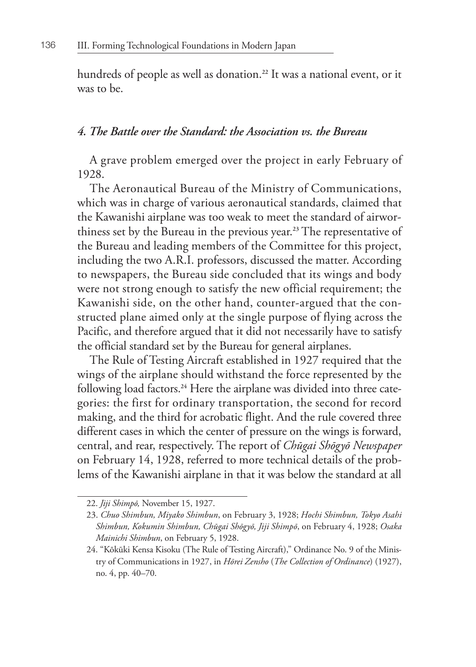hundreds of people as well as donation.**22** It was a national event, or it was to be.

## *4. The Battle over the Standard: the Association vs. the Bureau*

A grave problem emerged over the project in early February of 1928.

The Aeronautical Bureau of the Ministry of Communications, which was in charge of various aeronautical standards, claimed that the Kawanishi airplane was too weak to meet the standard of airworthiness set by the Bureau in the previous year.**23** The representative of the Bureau and leading members of the Committee for this project, including the two A.R.I. professors, discussed the matter. According to newspapers, the Bureau side concluded that its wings and body were not strong enough to satisfy the new official requirement; the Kawanishi side, on the other hand, counter-argued that the constructed plane aimed only at the single purpose of flying across the Pacific, and therefore argued that it did not necessarily have to satisfy the official standard set by the Bureau for general airplanes.

The Rule of Testing Aircraft established in 1927 required that the wings of the airplane should withstand the force represented by the following load factors.**24** Here the airplane was divided into three categories: the first for ordinary transportation, the second for record making, and the third for acrobatic flight. And the rule covered three different cases in which the center of pressure on the wings is forward, central, and rear, respectively. The report of *Chūgai Shōgyō Newspaper* on February 14, 1928, referred to more technical details of the problems of the Kawanishi airplane in that it was below the standard at all

<sup>22.</sup> *Jiji Shimpō,* November 15, 1927.

<sup>23.</sup> *Chuo Shimbun, Miyako Shimbun*, on February 3, 1928; *Hochi Shimbun, Tokyo Asahi Shimbun, Kokumin Shimbun, Chūgai Shōgyō, Jiji Shimpō*, on February 4, 1928; *Osaka Mainichi Shimbun*, on February 5, 1928.

<sup>24. &</sup>quot;Kōkūki Kensa Kisoku (The Rule of Testing Aircraft)," Ordinance No. 9 of the Ministry of Communications in 1927, in *Hōrei Zensho* (*The Collection of Ordinance*) (1927), no. 4, pp. 40–70.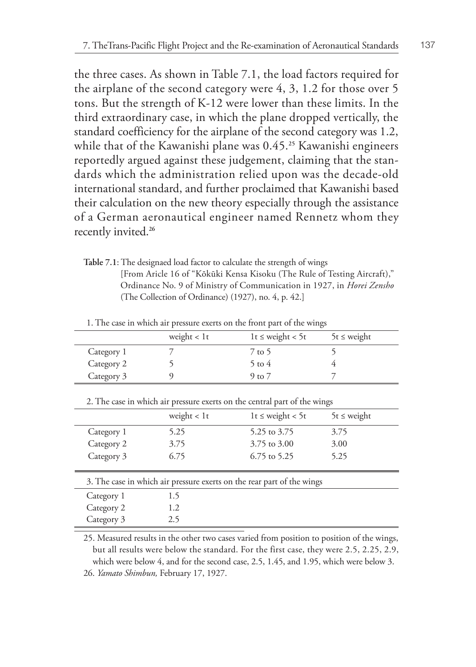the three cases. As shown in Table 7.1, the load factors required for the airplane of the second category were 4, 3, 1.2 for those over 5 tons. But the strength of K-12 were lower than these limits. In the third extraordinary case, in which the plane dropped vertically, the standard coefficiency for the airplane of the second category was 1.2, while that of the Kawanishi plane was 0.45.**25** Kawanishi engineers reportedly argued against these judgement, claiming that the standards which the administration relied upon was the decade-old international standard, and further proclaimed that Kawanishi based their calculation on the new theory especially through the assistance of a German aeronautical engineer named Rennetz whom they recently invited.**<sup>26</sup>**

**Table 7.1**: The designaed load factor to calculate the strength of wings [From Aricle 16 of "Kōkūki Kensa Kisoku (The Rule of Testing Aircraft)," Ordinance No. 9 of Ministry of Communication in 1927, in *Horei Zensho* (The Collection of Ordinance) (1927), no. 4, p. 42.]

|                                                                           | weight $< 1t$ | $1t \leq weight < 5t$ | $5t \leq$ weight |
|---------------------------------------------------------------------------|---------------|-----------------------|------------------|
| Category 1                                                                | 7             | 7 to 5                | 5                |
| Category 2                                                                | 5             | $5$ to $4$            | 4                |
| Category 3                                                                | 9             | $9$ to $7$            | 7                |
| 2. The case in which air pressure exerts on the central part of the wings |               |                       |                  |
|                                                                           | weight $< 1t$ | $1t \leq weight < 5t$ | $5t \leq$ weight |
| Category 1                                                                | 5.25          | 5.25 to 3.75          | 3.75             |
| Category 2                                                                | 3.75          | 3.75 to 3.00          | 3.00             |
| Category 3                                                                | 6.75          | $6.75$ to 5.25        | 5.25             |
|                                                                           |               |                       |                  |
| 3. The case in which air pressure exerts on the rear part of the wings    |               |                       |                  |
| Category 1                                                                | 1.5           |                       |                  |
| Category 2                                                                | 1.2           |                       |                  |
| Category 3                                                                | 2.5           |                       |                  |

1. The case in which air pressure exerts on the front part of the wings

25. Measured results in the other two cases varied from position to position of the wings, but all results were below the standard. For the first case, they were 2.5, 2.25, 2.9, which were below 4, and for the second case, 2.5, 1.45, and 1.95, which were below 3. 26. *Yamato Shimbun,* February 17, 1927.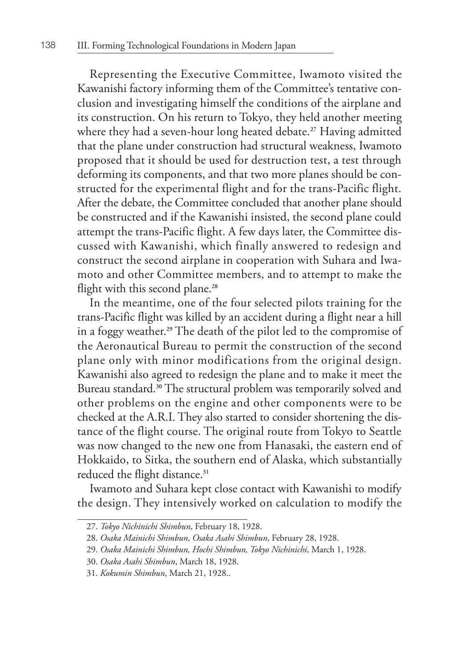Representing the Executive Committee, Iwamoto visited the Kawanishi factory informing them of the Committee's tentative conclusion and investigating himself the conditions of the airplane and its construction. On his return to Tokyo, they held another meeting where they had a seven-hour long heated debate.**27** Having admitted that the plane under construction had structural weakness, Iwamoto proposed that it should be used for destruction test, a test through deforming its components, and that two more planes should be constructed for the experimental flight and for the trans-Pacific flight. After the debate, the Committee concluded that another plane should be constructed and if the Kawanishi insisted, the second plane could attempt the trans-Pacific flight. A few days later, the Committee discussed with Kawanishi, which finally answered to redesign and construct the second airplane in cooperation with Suhara and Iwamoto and other Committee members, and to attempt to make the flight with this second plane.**<sup>28</sup>**

In the meantime, one of the four selected pilots training for the trans-Pacific flight was killed by an accident during a flight near a hill in a foggy weather.**29** The death of the pilot led to the compromise of the Aeronautical Bureau to permit the construction of the second plane only with minor modifications from the original design. Kawanishi also agreed to redesign the plane and to make it meet the Bureau standard.**30** The structural problem was temporarily solved and other problems on the engine and other components were to be checked at the A.R.I. They also started to consider shortening the distance of the flight course. The original route from Tokyo to Seattle was now changed to the new one from Hanasaki, the eastern end of Hokkaido, to Sitka, the southern end of Alaska, which substantially reduced the flight distance.**<sup>31</sup>**

Iwamoto and Suhara kept close contact with Kawanishi to modify the design. They intensively worked on calculation to modify the

<sup>27.</sup> *Tokyo Nichinichi Shimbun*, February 18, 1928.

<sup>28.</sup> *Osaka Mainichi Shimbun*, *Osaka Asahi Shimbun*, February 28, 1928.

<sup>29.</sup> *Osaka Mainichi Shimbun, Hochi Shimbun, Tokyo Nichinichi*, March 1, 1928.

<sup>30.</sup> *Osaka Asahi Shimbun*, March 18, 1928.

<sup>31.</sup> *Kokumin Shimbun*, March 21, 1928..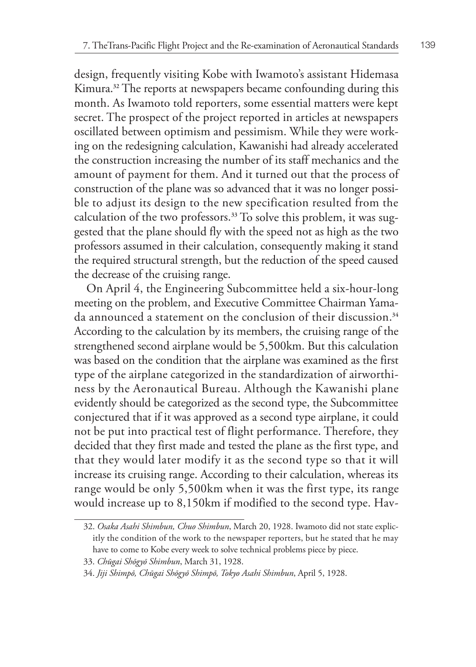design, frequently visiting Kobe with Iwamoto's assistant Hidemasa Kimura.**32** The reports at newspapers became confounding during this month. As Iwamoto told reporters, some essential matters were kept secret. The prospect of the project reported in articles at newspapers oscillated between optimism and pessimism. While they were working on the redesigning calculation, Kawanishi had already accelerated the construction increasing the number of its staff mechanics and the amount of payment for them. And it turned out that the process of construction of the plane was so advanced that it was no longer possible to adjust its design to the new specification resulted from the calculation of the two professors.**33** To solve this problem, it was suggested that the plane should fly with the speed not as high as the two professors assumed in their calculation, consequently making it stand the required structural strength, but the reduction of the speed caused the decrease of the cruising range.

On April 4, the Engineering Subcommittee held a six-hour-long meeting on the problem, and Executive Committee Chairman Yamada announced a statement on the conclusion of their discussion.**<sup>34</sup>** According to the calculation by its members, the cruising range of the strengthened second airplane would be 5,500km. But this calculation was based on the condition that the airplane was examined as the first type of the airplane categorized in the standardization of airworthiness by the Aeronautical Bureau. Although the Kawanishi plane evidently should be categorized as the second type, the Subcommittee conjectured that if it was approved as a second type airplane, it could not be put into practical test of flight performance. Therefore, they decided that they first made and tested the plane as the first type, and that they would later modify it as the second type so that it will increase its cruising range. According to their calculation, whereas its range would be only 5,500km when it was the first type, its range would increase up to 8,150km if modified to the second type. Hav-

<sup>32.</sup> *Osaka Asahi Shimbun, Chuo Shimbun*, March 20, 1928. Iwamoto did not state explicitly the condition of the work to the newspaper reporters, but he stated that he may have to come to Kobe every week to solve technical problems piece by piece.

<sup>33.</sup> *Chūgai Shōgyō Shimbun*, March 31, 1928.

<sup>34.</sup> *Jiji Shimpō, Chūgai Shōgyō Shimpō, Tokyo Asahi Shimbun*, April 5, 1928.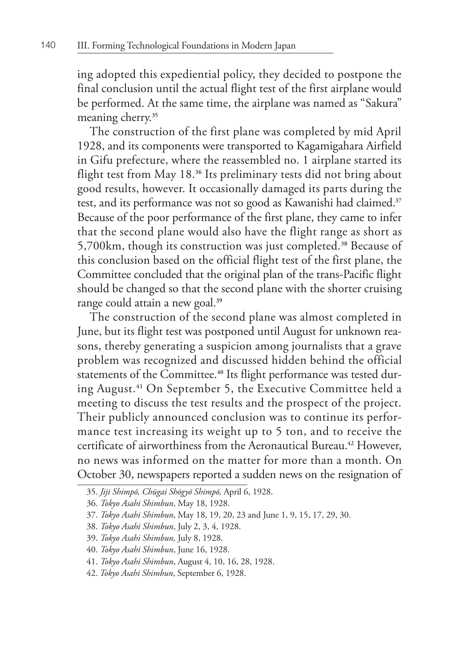ing adopted this expediential policy, they decided to postpone the final conclusion until the actual flight test of the first airplane would be performed. At the same time, the airplane was named as "Sakura" meaning cherry.**<sup>35</sup>**

The construction of the first plane was completed by mid April 1928, and its components were transported to Kagamigahara Airfield in Gifu prefecture, where the reassembled no. 1 airplane started its flight test from May 18.**36** Its preliminary tests did not bring about good results, however. It occasionally damaged its parts during the test, and its performance was not so good as Kawanishi had claimed.**<sup>37</sup>** Because of the poor performance of the first plane, they came to infer that the second plane would also have the flight range as short as 5,700km, though its construction was just completed.**38** Because of this conclusion based on the official flight test of the first plane, the Committee concluded that the original plan of the trans-Pacific flight should be changed so that the second plane with the shorter cruising range could attain a new goal.**<sup>39</sup>**

The construction of the second plane was almost completed in June, but its flight test was postponed until August for unknown reasons, thereby generating a suspicion among journalists that a grave problem was recognized and discussed hidden behind the official statements of the Committee.**40** Its flight performance was tested during August.**41** On September 5, the Executive Committee held a meeting to discuss the test results and the prospect of the project. Their publicly announced conclusion was to continue its performance test increasing its weight up to 5 ton, and to receive the certificate of airworthiness from the Aeronautical Bureau.**42** However, no news was informed on the matter for more than a month. On October 30, newspapers reported a sudden news on the resignation of

39. *Tokyo Asahi Shimbun,* July 8, 1928.

<sup>35.</sup> *Jiji Shimpō, Chūgai Shōgyō Shimpō,* April 6, 1928.

<sup>36.</sup> *Tokyo Asahi Shimbun*, May 18, 1928.

<sup>37.</sup> *Tokyo Asahi Shimbun*, May 18, 19, 20, 23 and June 1, 9, 15, 17, 29, 30.

<sup>38.</sup> *Tokyo Asahi Shimbun*, July 2, 3, 4, 1928.

<sup>40.</sup> *Tokyo Asahi Shimbun*, June 16, 1928.

<sup>41.</sup> *Tokyo Asahi Shimbun*, August 4, 10, 16, 28, 1928.

<sup>42.</sup> *Tokyo Asahi Shimbun*, September 6, 1928.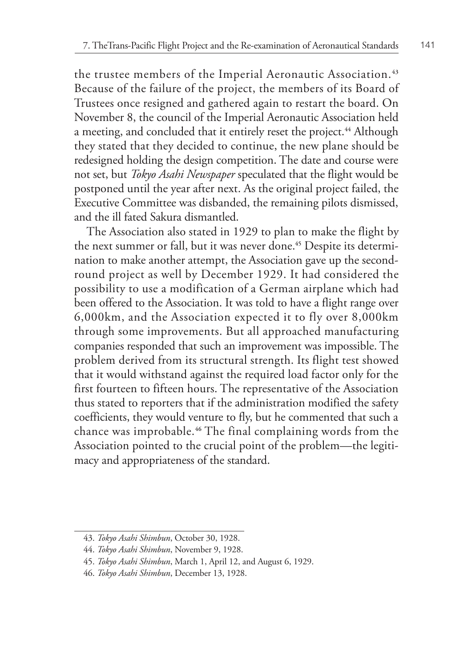the trustee members of the Imperial Aeronautic Association.**<sup>43</sup>** Because of the failure of the project, the members of its Board of Trustees once resigned and gathered again to restart the board. On November 8, the council of the Imperial Aeronautic Association held a meeting, and concluded that it entirely reset the project.**44** Although they stated that they decided to continue, the new plane should be redesigned holding the design competition. The date and course were not set, but *Tokyo Asahi Newspaper* speculated that the flight would be postponed until the year after next. As the original project failed, the Executive Committee was disbanded, the remaining pilots dismissed, and the ill fated Sakura dismantled.

The Association also stated in 1929 to plan to make the flight by the next summer or fall, but it was never done.**45** Despite its determination to make another attempt, the Association gave up the secondround project as well by December 1929. It had considered the possibility to use a modification of a German airplane which had been offered to the Association. It was told to have a flight range over 6,000km, and the Association expected it to fly over 8,000km through some improvements. But all approached manufacturing companies responded that such an improvement was impossible. The problem derived from its structural strength. Its flight test showed that it would withstand against the required load factor only for the first fourteen to fifteen hours. The representative of the Association thus stated to reporters that if the administration modified the safety coefficients, they would venture to fly, but he commented that such a chance was improbable.**46** The final complaining words from the Association pointed to the crucial point of the problem—the legitimacy and appropriateness of the standard.

<sup>43.</sup> *Tokyo Asahi Shimbun*, October 30, 1928.

<sup>44.</sup> *Tokyo Asahi Shimbun*, November 9, 1928.

<sup>45.</sup> *Tokyo Asahi Shimbun*, March 1, April 12, and August 6, 1929.

<sup>46.</sup> *Tokyo Asahi Shimbun*, December 13, 1928.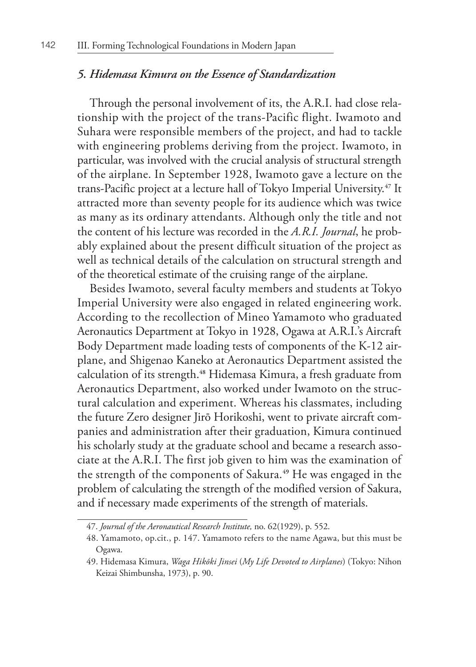### *5. Hidemasa Kimura on the Essence of Standardization*

Through the personal involvement of its, the A.R.I. had close relationship with the project of the trans-Pacific flight. Iwamoto and Suhara were responsible members of the project, and had to tackle with engineering problems deriving from the project. Iwamoto, in particular, was involved with the crucial analysis of structural strength of the airplane. In September 1928, Iwamoto gave a lecture on the trans-Pacific project at a lecture hall of Tokyo Imperial University.**47** It attracted more than seventy people for its audience which was twice as many as its ordinary attendants. Although only the title and not the content of his lecture was recorded in the *A.R.I. Journal*, he probably explained about the present difficult situation of the project as well as technical details of the calculation on structural strength and of the theoretical estimate of the cruising range of the airplane.

Besides Iwamoto, several faculty members and students at Tokyo Imperial University were also engaged in related engineering work. According to the recollection of Mineo Yamamoto who graduated Aeronautics Department at Tokyo in 1928, Ogawa at A.R.I.'s Aircraft Body Department made loading tests of components of the K-12 airplane, and Shigenao Kaneko at Aeronautics Department assisted the calculation of its strength.**48** Hidemasa Kimura, a fresh graduate from Aeronautics Department, also worked under Iwamoto on the structural calculation and experiment. Whereas his classmates, including the future Zero designer Jirō Horikoshi, went to private aircraft companies and administration after their graduation, Kimura continued his scholarly study at the graduate school and became a research associate at the A.R.I. The first job given to him was the examination of the strength of the components of Sakura.**49** He was engaged in the problem of calculating the strength of the modified version of Sakura, and if necessary made experiments of the strength of materials.

<sup>47.</sup> *Journal of the Aeronautical Research Institute,* no. 62(1929), p. 552.

<sup>48.</sup> Yamamoto, op.cit., p. 147. Yamamoto refers to the name Agawa, but this must be Ogawa.

<sup>49.</sup> Hidemasa Kimura, *Waga Hikōki Jinsei* (*My Life Devoted to Airplanes*) (Tokyo: Nihon Keizai Shimbunsha, 1973), p. 90.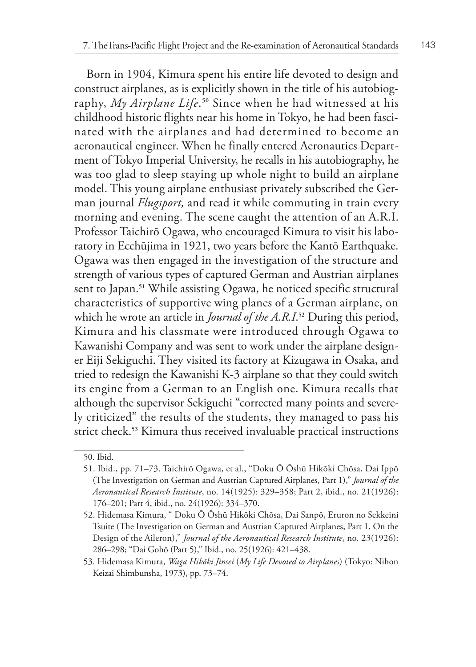Born in 1904, Kimura spent his entire life devoted to design and construct airplanes, as is explicitly shown in the title of his autobiography, *My Airplane Life*. **<sup>50</sup>** Since when he had witnessed at his childhood historic flights near his home in Tokyo, he had been fascinated with the airplanes and had determined to become an aeronautical engineer. When he finally entered Aeronautics Department of Tokyo Imperial University, he recalls in his autobiography, he was too glad to sleep staying up whole night to build an airplane model. This young airplane enthusiast privately subscribed the German journal *Flugsport,* and read it while commuting in train every morning and evening. The scene caught the attention of an A.R.I. Professor Taichirō Ogawa, who encouraged Kimura to visit his laboratory in Ecchūjima in 1921, two years before the Kantō Earthquake. Ogawa was then engaged in the investigation of the structure and strength of various types of captured German and Austrian airplanes sent to Japan.**51** While assisting Ogawa, he noticed specific structural characteristics of supportive wing planes of a German airplane, on which he wrote an article in *Journal of the A.R.I*. **<sup>52</sup>** During this period, Kimura and his classmate were introduced through Ogawa to Kawanishi Company and was sent to work under the airplane designer Eiji Sekiguchi. They visited its factory at Kizugawa in Osaka, and tried to redesign the Kawanishi K-3 airplane so that they could switch its engine from a German to an English one. Kimura recalls that although the supervisor Sekiguchi "corrected many points and severely criticized" the results of the students, they managed to pass his strict check.**53** Kimura thus received invaluable practical instructions

<sup>50.</sup> Ibid.

<sup>51.</sup> Ibid., pp. 71–73. Taichirō Ogawa, et al., "Doku Ō Ōshū Hikōki Chōsa, Dai Ippō (The Investigation on German and Austrian Captured Airplanes, Part 1)," *Journal of the Aeronautical Research Institute*, no. 14(1925): 329–358; Part 2, ibid., no. 21(1926): 176–201; Part 4, ibid., no. 24(1926): 334–370.

<sup>52.</sup> Hidemasa Kimura, " Doku Ō Ōshū Hikōki Chōsa, Dai Sanpō, Eruron no Sekkeini Tsuite (The Investigation on German and Austrian Captured Airplanes, Part 1, On the Design of the Aileron)," *Journal of the Aeronautical Research Institute*, no. 23(1926): 286–298; "Dai Gohō (Part 5)," Ibid., no. 25(1926): 421–438.

<sup>53.</sup> Hidemasa Kimura, *Waga Hikōki Jinsei* (*My Life Devoted to Airplanes*) (Tokyo: Nihon Keizai Shimbunsha, 1973), pp. 73–74.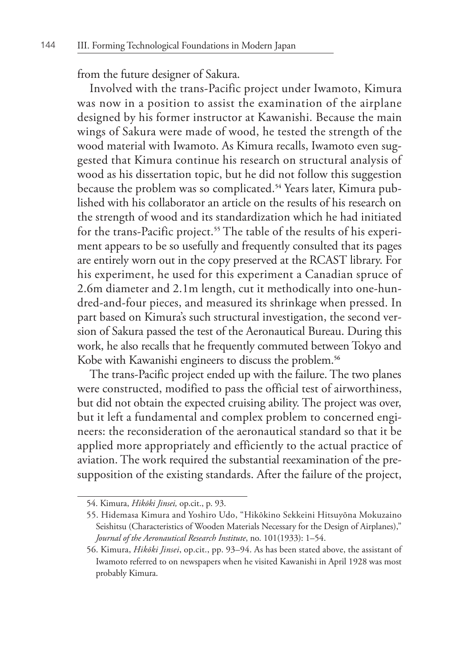from the future designer of Sakura.

Involved with the trans-Pacific project under Iwamoto, Kimura was now in a position to assist the examination of the airplane designed by his former instructor at Kawanishi. Because the main wings of Sakura were made of wood, he tested the strength of the wood material with Iwamoto. As Kimura recalls, Iwamoto even suggested that Kimura continue his research on structural analysis of wood as his dissertation topic, but he did not follow this suggestion because the problem was so complicated.**54** Years later, Kimura published with his collaborator an article on the results of his research on the strength of wood and its standardization which he had initiated for the trans-Pacific project.**55** The table of the results of his experiment appears to be so usefully and frequently consulted that its pages are entirely worn out in the copy preserved at the RCAST library. For his experiment, he used for this experiment a Canadian spruce of 2.6m diameter and 2.1m length, cut it methodically into one-hundred-and-four pieces, and measured its shrinkage when pressed. In part based on Kimura's such structural investigation, the second version of Sakura passed the test of the Aeronautical Bureau. During this work, he also recalls that he frequently commuted between Tokyo and Kobe with Kawanishi engineers to discuss the problem.**<sup>56</sup>**

The trans-Pacific project ended up with the failure. The two planes were constructed, modified to pass the official test of airworthiness, but did not obtain the expected cruising ability. The project was over, but it left a fundamental and complex problem to concerned engineers: the reconsideration of the aeronautical standard so that it be applied more appropriately and efficiently to the actual practice of aviation. The work required the substantial reexamination of the presupposition of the existing standards. After the failure of the project,

<sup>54.</sup> Kimura, *Hikōki Jinsei,* op.cit., p. 93.

<sup>55.</sup> Hidemasa Kimura and Yoshiro Udo, "Hikōkino Sekkeini Hitsuyōna Mokuzaino Seishitsu (Characteristics of Wooden Materials Necessary for the Design of Airplanes)," *Journal of the Aeronautical Research Institute*, no. 101(1933): 1–54.

<sup>56.</sup> Kimura, *Hikōki Jinsei*, op.cit., pp. 93–94. As has been stated above, the assistant of Iwamoto referred to on newspapers when he visited Kawanishi in April 1928 was most probably Kimura.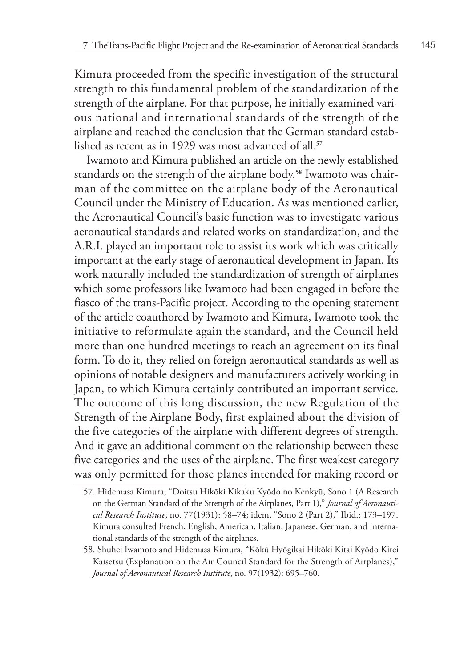Kimura proceeded from the specific investigation of the structural strength to this fundamental problem of the standardization of the strength of the airplane. For that purpose, he initially examined various national and international standards of the strength of the airplane and reached the conclusion that the German standard established as recent as in 1929 was most advanced of all.**<sup>57</sup>**

Iwamoto and Kimura published an article on the newly established standards on the strength of the airplane body.**58** Iwamoto was chairman of the committee on the airplane body of the Aeronautical Council under the Ministry of Education. As was mentioned earlier, the Aeronautical Council's basic function was to investigate various aeronautical standards and related works on standardization, and the A.R.I. played an important role to assist its work which was critically important at the early stage of aeronautical development in Japan. Its work naturally included the standardization of strength of airplanes which some professors like Iwamoto had been engaged in before the fiasco of the trans-Pacific project. According to the opening statement of the article coauthored by Iwamoto and Kimura, Iwamoto took the initiative to reformulate again the standard, and the Council held more than one hundred meetings to reach an agreement on its final form. To do it, they relied on foreign aeronautical standards as well as opinions of notable designers and manufacturers actively working in Japan, to which Kimura certainly contributed an important service. The outcome of this long discussion, the new Regulation of the Strength of the Airplane Body, first explained about the division of the five categories of the airplane with different degrees of strength. And it gave an additional comment on the relationship between these five categories and the uses of the airplane. The first weakest category was only permitted for those planes intended for making record or

<sup>57.</sup> Hidemasa Kimura, "Doitsu Hikōki Kikaku Kyōdo no Kenkyū, Sono 1 (A Research on the German Standard of the Strength of the Airplanes, Part 1)," *Journal of Aeronautical Research Institute*, no. 77(1931): 58–74; idem, "Sono 2 (Part 2)," Ibid.: 173–197. Kimura consulted French, English, American, Italian, Japanese, German, and International standards of the strength of the airplanes.

<sup>58.</sup> Shuhei Iwamoto and Hidemasa Kimura, "Kōkū Hyōgikai Hikōki Kitai Kyōdo Kitei Kaisetsu (Explanation on the Air Council Standard for the Strength of Airplanes)," *Journal of Aeronautical Research Institute*, no. 97(1932): 695–760.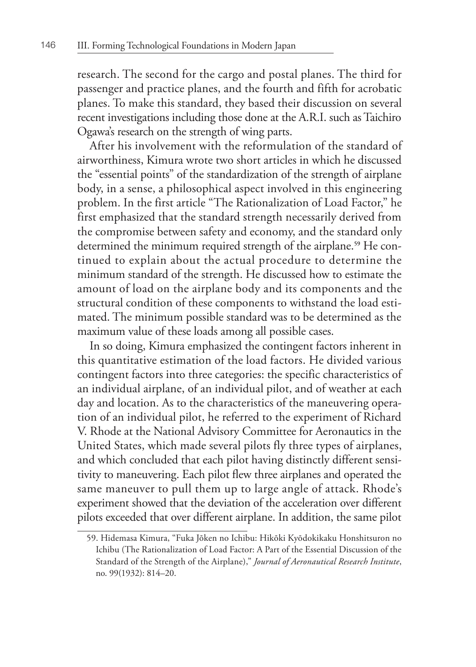research. The second for the cargo and postal planes. The third for passenger and practice planes, and the fourth and fifth for acrobatic planes. To make this standard, they based their discussion on several recent investigations including those done at the A.R.I. such as Taichiro Ogawa's research on the strength of wing parts.

After his involvement with the reformulation of the standard of airworthiness, Kimura wrote two short articles in which he discussed the "essential points" of the standardization of the strength of airplane body, in a sense, a philosophical aspect involved in this engineering problem. In the first article "The Rationalization of Load Factor," he first emphasized that the standard strength necessarily derived from the compromise between safety and economy, and the standard only determined the minimum required strength of the airplane.**59** He continued to explain about the actual procedure to determine the minimum standard of the strength. He discussed how to estimate the amount of load on the airplane body and its components and the structural condition of these components to withstand the load estimated. The minimum possible standard was to be determined as the maximum value of these loads among all possible cases.

In so doing, Kimura emphasized the contingent factors inherent in this quantitative estimation of the load factors. He divided various contingent factors into three categories: the specific characteristics of an individual airplane, of an individual pilot, and of weather at each day and location. As to the characteristics of the maneuvering operation of an individual pilot, he referred to the experiment of Richard V. Rhode at the National Advisory Committee for Aeronautics in the United States, which made several pilots fly three types of airplanes, and which concluded that each pilot having distinctly different sensitivity to maneuvering. Each pilot flew three airplanes and operated the same maneuver to pull them up to large angle of attack. Rhode's experiment showed that the deviation of the acceleration over different pilots exceeded that over different airplane. In addition, the same pilot

<sup>59.</sup> Hidemasa Kimura, "Fuka Jōken no Ichibu: Hikōki Kyōdokikaku Honshitsuron no Ichibu (The Rationalization of Load Factor: A Part of the Essential Discussion of the Standard of the Strength of the Airplane)," *Journal of Aeronautical Research Institute*, no. 99(1932): 814–20.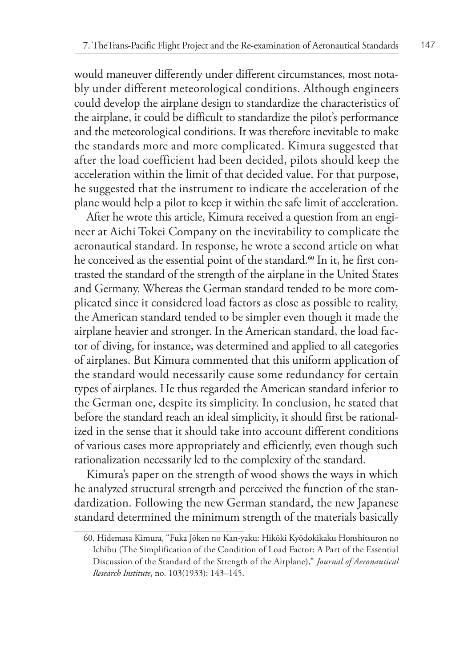would maneuver differently under different circumstances, most notably under different meteorological conditions. Although engineers could develop the airplane design to standardize the characteristics of the airplane, it could be difficult to standardize the pilot's performance and the meteorological conditions. It was therefore inevitable to make the standards more and more complicated. Kimura suggested that after the load coefficient had been decided, pilots should keep the acceleration within the limit of that decided value. For that purpose, he suggested that the instrument to indicate the acceleration of the plane would help a pilot to keep it within the safe limit of acceleration.

After he wrote this article, Kimura received a question from an engineer at Aichi Tokei Company on the inevitability to complicate the aeronautical standard. In response, he wrote a second article on what he conceived as the essential point of the standard.**60** In it, he first contrasted the standard of the strength of the airplane in the United States and Germany. Whereas the German standard tended to be more complicated since it considered load factors as close as possible to reality, the American standard tended to be simpler even though it made the airplane heavier and stronger. In the American standard, the load factor of diving, for instance, was determined and applied to all categories of airplanes. But Kimura commented that this uniform application of the standard would necessarily cause some redundancy for certain types of airplanes. He thus regarded the American standard inferior to the German one, despite its simplicity. In conclusion, he stated that before the standard reach an ideal simplicity, it should first be rationalized in the sense that it should take into account different conditions of various cases more appropriately and efficiently, even though such rationalization necessarily led to the complexity of the standard.

Kimura's paper on the strength of wood shows the ways in which he analyzed structural strength and perceived the function of the standardization. Following the new German standard, the new Japanese standard determined the minimum strength of the materials basically

<sup>60.</sup> Hidemasa Kimura, "Fuka Jōken no Kan-yaku: Hikōki Kyōdokikaku Honshitsuron no Ichibu (The Simplification of the Condition of Load Factor: A Part of the Essential Discussion of the Standard of the Strength of the Airplane)," *Journal of Aeronautical Research Institute*, no. 103(1933): 143–145.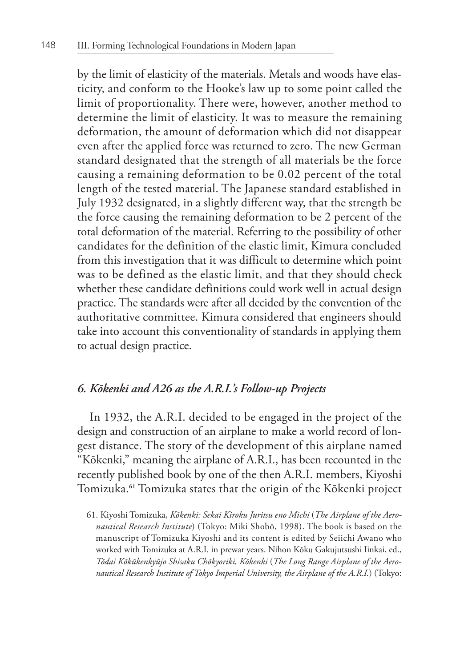by the limit of elasticity of the materials. Metals and woods have elasticity, and conform to the Hooke's law up to some point called the limit of proportionality. There were, however, another method to determine the limit of elasticity. It was to measure the remaining deformation, the amount of deformation which did not disappear even after the applied force was returned to zero. The new German standard designated that the strength of all materials be the force causing a remaining deformation to be 0.02 percent of the total length of the tested material. The Japanese standard established in July 1932 designated, in a slightly different way, that the strength be the force causing the remaining deformation to be 2 percent of the total deformation of the material. Referring to the possibility of other candidates for the definition of the elastic limit, Kimura concluded from this investigation that it was difficult to determine which point was to be defined as the elastic limit, and that they should check whether these candidate definitions could work well in actual design practice. The standards were after all decided by the convention of the authoritative committee. Kimura considered that engineers should take into account this conventionality of standards in applying them to actual design practice.

# *6. Kōkenki and A26 as the A.R.I.'s Follow-up Projects*

In 1932, the A.R.I. decided to be engaged in the project of the design and construction of an airplane to make a world record of longest distance. The story of the development of this airplane named "Kōkenki," meaning the airplane of A.R.I., has been recounted in the recently published book by one of the then A.R.I. members, Kiyoshi Tomizuka.**61** Tomizuka states that the origin of the Kōkenki project

<sup>61.</sup> Kiyoshi Tomizuka, *Kōkenki: Sekai Kiroku Juritsu eno Michi* (*The Airplane of the Aeronautical Research Institute*) (Tokyo: Miki Shobō, 1998). The book is based on the manuscript of Tomizuka Kiyoshi and its content is edited by Seiichi Awano who worked with Tomizuka at A.R.I. in prewar years. Nihon Kōku Gakujutsushi Iinkai, ed., *Tōdai Kōkūkenkyūjo Shisaku Chōkyoriki, Kōkenki* (*The Long Range Airplane of the Aeronautical Research Institute of Tokyo Imperial University, the Airplane of the A.R.I.*) (Tokyo: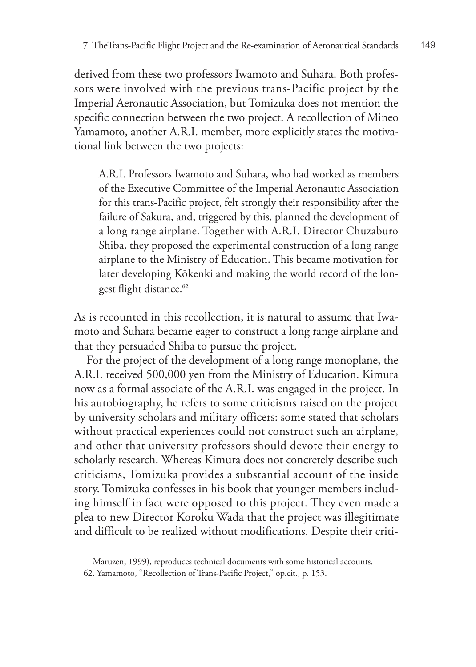derived from these two professors Iwamoto and Suhara. Both professors were involved with the previous trans-Pacific project by the Imperial Aeronautic Association, but Tomizuka does not mention the specific connection between the two project. A recollection of Mineo Yamamoto, another A.R.I. member, more explicitly states the motivational link between the two projects:

A.R.I. Professors Iwamoto and Suhara, who had worked as members of the Executive Committee of the Imperial Aeronautic Association for this trans-Pacific project, felt strongly their responsibility after the failure of Sakura, and, triggered by this, planned the development of a long range airplane. Together with A.R.I. Director Chuzaburo Shiba, they proposed the experimental construction of a long range airplane to the Ministry of Education. This became motivation for later developing Kōkenki and making the world record of the longest flight distance.**<sup>62</sup>**

As is recounted in this recollection, it is natural to assume that Iwamoto and Suhara became eager to construct a long range airplane and that they persuaded Shiba to pursue the project.

For the project of the development of a long range monoplane, the A.R.I. received 500,000 yen from the Ministry of Education. Kimura now as a formal associate of the A.R.I. was engaged in the project. In his autobiography, he refers to some criticisms raised on the project by university scholars and military officers: some stated that scholars without practical experiences could not construct such an airplane, and other that university professors should devote their energy to scholarly research. Whereas Kimura does not concretely describe such criticisms, Tomizuka provides a substantial account of the inside story. Tomizuka confesses in his book that younger members including himself in fact were opposed to this project. They even made a plea to new Director Koroku Wada that the project was illegitimate and difficult to be realized without modifications. Despite their criti-

Maruzen, 1999), reproduces technical documents with some historical accounts.

<sup>62.</sup> Yamamoto, "Recollection of Trans-Pacific Project," op.cit., p. 153.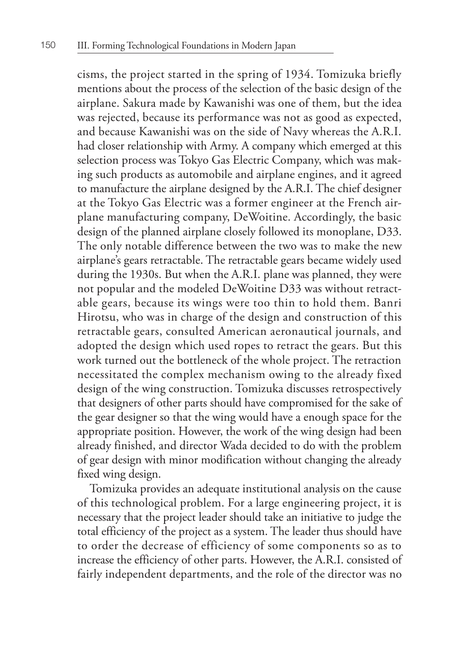cisms, the project started in the spring of 1934. Tomizuka briefly mentions about the process of the selection of the basic design of the airplane. Sakura made by Kawanishi was one of them, but the idea was rejected, because its performance was not as good as expected, and because Kawanishi was on the side of Navy whereas the A.R.I. had closer relationship with Army. A company which emerged at this selection process was Tokyo Gas Electric Company, which was making such products as automobile and airplane engines, and it agreed to manufacture the airplane designed by the A.R.I. The chief designer at the Tokyo Gas Electric was a former engineer at the French airplane manufacturing company, DeWoitine. Accordingly, the basic design of the planned airplane closely followed its monoplane, D33. The only notable difference between the two was to make the new airplane's gears retractable. The retractable gears became widely used during the 1930s. But when the A.R.I. plane was planned, they were not popular and the modeled DeWoitine D33 was without retractable gears, because its wings were too thin to hold them. Banri Hirotsu, who was in charge of the design and construction of this retractable gears, consulted American aeronautical journals, and adopted the design which used ropes to retract the gears. But this work turned out the bottleneck of the whole project. The retraction necessitated the complex mechanism owing to the already fixed design of the wing construction. Tomizuka discusses retrospectively that designers of other parts should have compromised for the sake of the gear designer so that the wing would have a enough space for the appropriate position. However, the work of the wing design had been already finished, and director Wada decided to do with the problem of gear design with minor modification without changing the already fixed wing design.

Tomizuka provides an adequate institutional analysis on the cause of this technological problem. For a large engineering project, it is necessary that the project leader should take an initiative to judge the total efficiency of the project as a system. The leader thus should have to order the decrease of efficiency of some components so as to increase the efficiency of other parts. However, the A.R.I. consisted of fairly independent departments, and the role of the director was no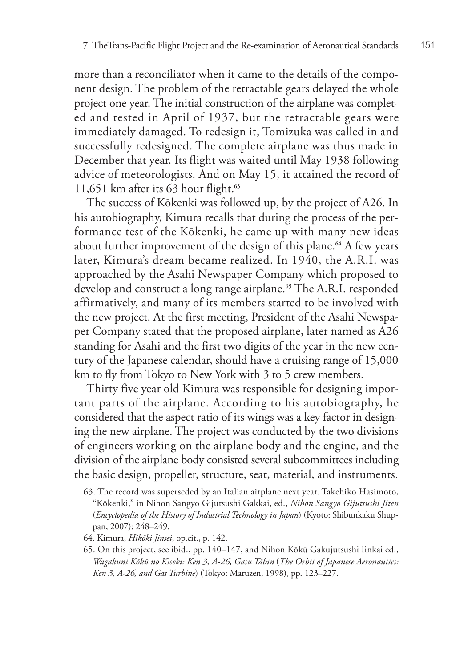more than a reconciliator when it came to the details of the component design. The problem of the retractable gears delayed the whole project one year. The initial construction of the airplane was completed and tested in April of 1937, but the retractable gears were immediately damaged. To redesign it, Tomizuka was called in and successfully redesigned. The complete airplane was thus made in December that year. Its flight was waited until May 1938 following advice of meteorologists. And on May 15, it attained the record of 11,651 km after its 63 hour flight.**<sup>63</sup>**

The success of Kōkenki was followed up, by the project of A26. In his autobiography, Kimura recalls that during the process of the performance test of the Kōkenki, he came up with many new ideas about further improvement of the design of this plane.**64** A few years later, Kimura's dream became realized. In 1940, the A.R.I. was approached by the Asahi Newspaper Company which proposed to develop and construct a long range airplane.**65** The A.R.I. responded affirmatively, and many of its members started to be involved with the new project. At the first meeting, President of the Asahi Newspaper Company stated that the proposed airplane, later named as A26 standing for Asahi and the first two digits of the year in the new century of the Japanese calendar, should have a cruising range of 15,000 km to fly from Tokyo to New York with 3 to 5 crew members.

Thirty five year old Kimura was responsible for designing important parts of the airplane. According to his autobiography, he considered that the aspect ratio of its wings was a key factor in designing the new airplane. The project was conducted by the two divisions of engineers working on the airplane body and the engine, and the division of the airplane body consisted several subcommittees including the basic design, propeller, structure, seat, material, and instruments.

<sup>63.</sup> The record was superseded by an Italian airplane next year. Takehiko Hasimoto, "Kōkenki," in Nihon Sangyo Gijutsushi Gakkai, ed., *Nihon Sangyo Gijutsushi Jiten* (*Encyclopedia of the History of Industrial Technology in Japan*) (Kyoto: Shibunkaku Shuppan, 2007): 248–249.

<sup>64.</sup> Kimura, *Hikōki Jinsei*, op.cit., p. 142.

<sup>65.</sup> On this project, see ibid., pp. 140–147, and Nihon Kōkū Gakujutsushi Iinkai ed., *Wagakuni Kōkū no Kiseki: Ken 3, A-26, Gasu Tābin* (*The Orbit of Japanese Aeronautics: Ken 3, A-26, and Gas Turbine*) (Tokyo: Maruzen, 1998), pp. 123–227.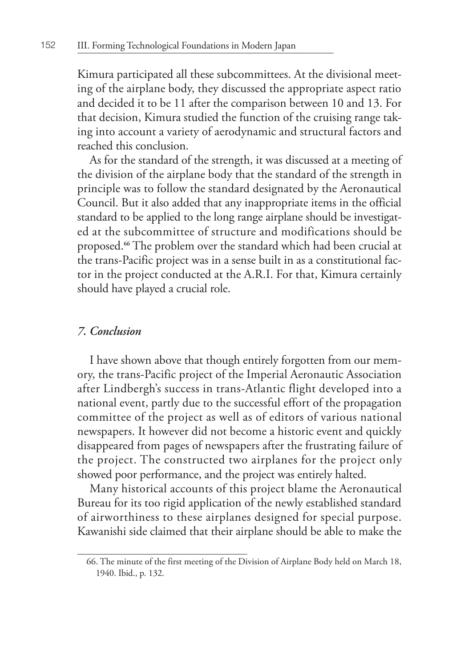Kimura participated all these subcommittees. At the divisional meeting of the airplane body, they discussed the appropriate aspect ratio and decided it to be 11 after the comparison between 10 and 13. For that decision, Kimura studied the function of the cruising range taking into account a variety of aerodynamic and structural factors and reached this conclusion.

As for the standard of the strength, it was discussed at a meeting of the division of the airplane body that the standard of the strength in principle was to follow the standard designated by the Aeronautical Council. But it also added that any inappropriate items in the official standard to be applied to the long range airplane should be investigated at the subcommittee of structure and modifications should be proposed.**66** The problem over the standard which had been crucial at the trans-Pacific project was in a sense built in as a constitutional factor in the project conducted at the A.R.I. For that, Kimura certainly should have played a crucial role.

#### *7. Conclusion*

I have shown above that though entirely forgotten from our memory, the trans-Pacific project of the Imperial Aeronautic Association after Lindbergh's success in trans-Atlantic flight developed into a national event, partly due to the successful effort of the propagation committee of the project as well as of editors of various national newspapers. It however did not become a historic event and quickly disappeared from pages of newspapers after the frustrating failure of the project. The constructed two airplanes for the project only showed poor performance, and the project was entirely halted.

Many historical accounts of this project blame the Aeronautical Bureau for its too rigid application of the newly established standard of airworthiness to these airplanes designed for special purpose. Kawanishi side claimed that their airplane should be able to make the

<sup>66.</sup> The minute of the first meeting of the Division of Airplane Body held on March 18, 1940. Ibid., p. 132.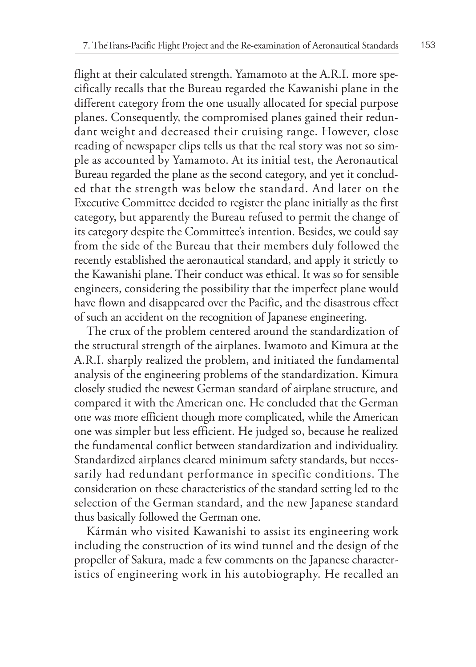flight at their calculated strength. Yamamoto at the A.R.I. more specifically recalls that the Bureau regarded the Kawanishi plane in the different category from the one usually allocated for special purpose planes. Consequently, the compromised planes gained their redundant weight and decreased their cruising range. However, close reading of newspaper clips tells us that the real story was not so simple as accounted by Yamamoto. At its initial test, the Aeronautical Bureau regarded the plane as the second category, and yet it concluded that the strength was below the standard. And later on the Executive Committee decided to register the plane initially as the first category, but apparently the Bureau refused to permit the change of its category despite the Committee's intention. Besides, we could say from the side of the Bureau that their members duly followed the recently established the aeronautical standard, and apply it strictly to the Kawanishi plane. Their conduct was ethical. It was so for sensible engineers, considering the possibility that the imperfect plane would have flown and disappeared over the Pacific, and the disastrous effect of such an accident on the recognition of Japanese engineering.

The crux of the problem centered around the standardization of the structural strength of the airplanes. Iwamoto and Kimura at the A.R.I. sharply realized the problem, and initiated the fundamental analysis of the engineering problems of the standardization. Kimura closely studied the newest German standard of airplane structure, and compared it with the American one. He concluded that the German one was more efficient though more complicated, while the American one was simpler but less efficient. He judged so, because he realized the fundamental conflict between standardization and individuality. Standardized airplanes cleared minimum safety standards, but necessarily had redundant performance in specific conditions. The consideration on these characteristics of the standard setting led to the selection of the German standard, and the new Japanese standard thus basically followed the German one.

Kármán who visited Kawanishi to assist its engineering work including the construction of its wind tunnel and the design of the propeller of Sakura, made a few comments on the Japanese characteristics of engineering work in his autobiography. He recalled an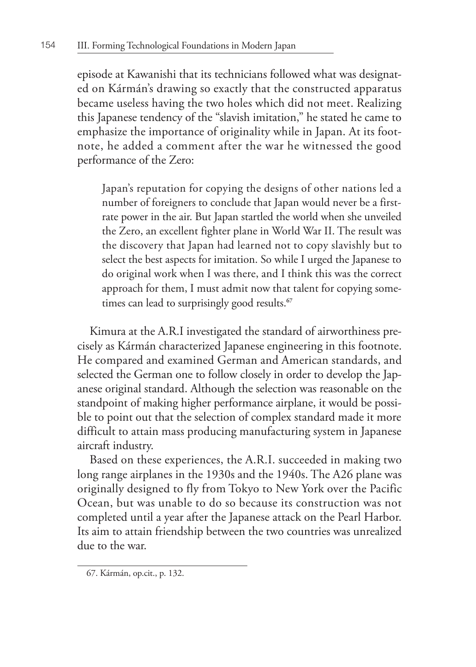episode at Kawanishi that its technicians followed what was designated on Kármán's drawing so exactly that the constructed apparatus became useless having the two holes which did not meet. Realizing this Japanese tendency of the "slavish imitation," he stated he came to emphasize the importance of originality while in Japan. At its footnote, he added a comment after the war he witnessed the good performance of the Zero:

Japan's reputation for copying the designs of other nations led a number of foreigners to conclude that Japan would never be a firstrate power in the air. But Japan startled the world when she unveiled the Zero, an excellent fighter plane in World War II. The result was the discovery that Japan had learned not to copy slavishly but to select the best aspects for imitation. So while I urged the Japanese to do original work when I was there, and I think this was the correct approach for them, I must admit now that talent for copying sometimes can lead to surprisingly good results.**<sup>67</sup>**

Kimura at the A.R.I investigated the standard of airworthiness precisely as Kármán characterized Japanese engineering in this footnote. He compared and examined German and American standards, and selected the German one to follow closely in order to develop the Japanese original standard. Although the selection was reasonable on the standpoint of making higher performance airplane, it would be possible to point out that the selection of complex standard made it more difficult to attain mass producing manufacturing system in Japanese aircraft industry.

Based on these experiences, the A.R.I. succeeded in making two long range airplanes in the 1930s and the 1940s. The A26 plane was originally designed to fly from Tokyo to New York over the Pacific Ocean, but was unable to do so because its construction was not completed until a year after the Japanese attack on the Pearl Harbor. Its aim to attain friendship between the two countries was unrealized due to the war.

<sup>67.</sup> Kármán, op.cit., p. 132.